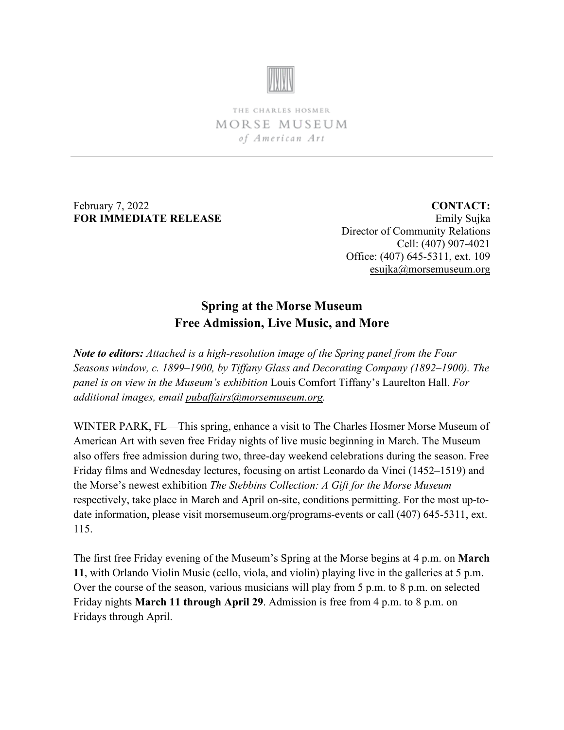

THE CHARLES HOSMER MORSE MUSEUM of American Art

February 7, 2022 **FOR IMMEDIATE RELEASE**

**CONTACT:** Emily Sujka Director of Community Relations Cell: (407) 907-4021 Office: (407) 645-5311, ext. 109 [esujka@morsemuseum.org](mailto:esujka@morsemuseum.org)

# **Spring at the Morse Museum Free Admission, Live Music, and More**

*Note to editors: Attached is a high-resolution image of the Spring panel from the Four Seasons window, c. 1899–1900, by Tiffany Glass and Decorating Company (1892–1900). The panel is on view in the Museum's exhibition* Louis Comfort Tiffany's Laurelton Hall. *For additional images, email [pubaffairs@morsemuseum.org.](mailto:pubaffairs@morsemuseum.org)*

WINTER PARK, FL—This spring, enhance a visit to The Charles Hosmer Morse Museum of American Art with seven free Friday nights of live music beginning in March. The Museum also offers free admission during two, three-day weekend celebrations during the season. Free Friday films and Wednesday lectures, focusing on artist Leonardo da Vinci (1452–1519) and the Morse's newest exhibition *The Stebbins Collection: A Gift for the Morse Museum* respectively, take place in March and April on-site, conditions permitting. For the most up-todate information, please visit morsemuseum.org/programs-events or call (407) 645-5311, ext. 115.

The first free Friday evening of the Museum's Spring at the Morse begins at 4 p.m. on **March 11**, with Orlando Violin Music (cello, viola, and violin) playing live in the galleries at 5 p.m. Over the course of the season, various musicians will play from 5 p.m. to 8 p.m. on selected Friday nights **March 11 through April 29**. Admission is free from 4 p.m. to 8 p.m. on Fridays through April.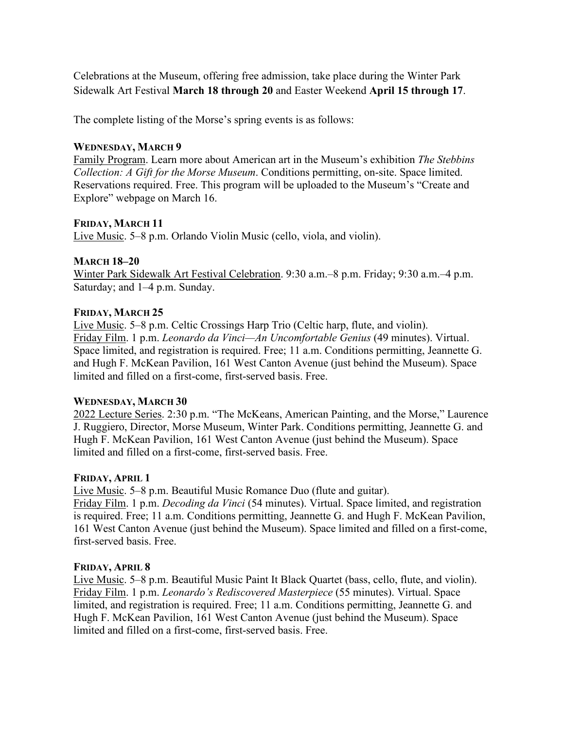Celebrations at the Museum, offering free admission, take place during the Winter Park Sidewalk Art Festival **March 18 through 20** and Easter Weekend **April 15 through 17**.

The complete listing of the Morse's spring events is as follows:

#### **WEDNESDAY, MARCH 9**

Family Program. Learn more about American art in the Museum's exhibition *The Stebbins Collection: A Gift for the Morse Museum*. Conditions permitting, on-site. Space limited. Reservations required. Free. This program will be uploaded to the Museum's "Create and Explore" webpage on March 16.

#### **FRIDAY, MARCH 11**

Live Music. 5–8 p.m. Orlando Violin Music (cello, viola, and violin).

#### **MARCH 18–20**

Winter Park Sidewalk Art Festival Celebration. 9:30 a.m.–8 p.m. Friday; 9:30 a.m.–4 p.m. Saturday; and 1–4 p.m. Sunday.

#### **FRIDAY, MARCH 25**

Live Music. 5–8 p.m. Celtic Crossings Harp Trio (Celtic harp, flute, and violin). Friday Film. 1 p.m. *Leonardo da Vinci—An Uncomfortable Genius* (49 minutes). Virtual. Space limited, and registration is required. Free; 11 a.m. Conditions permitting, Jeannette G. and Hugh F. McKean Pavilion, 161 West Canton Avenue (just behind the Museum). Space limited and filled on a first-come, first-served basis. Free.

#### **WEDNESDAY, MARCH 30**

2022 Lecture Series. 2:30 p.m. "The McKeans, American Painting, and the Morse," Laurence J. Ruggiero, Director, Morse Museum, Winter Park. Conditions permitting, Jeannette G. and Hugh F. McKean Pavilion, 161 West Canton Avenue (just behind the Museum). Space limited and filled on a first-come, first-served basis. Free.

#### **FRIDAY, APRIL 1**

Live Music. 5–8 p.m. Beautiful Music Romance Duo (flute and guitar).

Friday Film. 1 p.m. *Decoding da Vinci* (54 minutes). Virtual. Space limited, and registration is required. Free; 11 a.m. Conditions permitting, Jeannette G. and Hugh F. McKean Pavilion, 161 West Canton Avenue (just behind the Museum). Space limited and filled on a first-come, first-served basis. Free.

#### **FRIDAY, APRIL 8**

Live Music. 5–8 p.m. Beautiful Music Paint It Black Quartet (bass, cello, flute, and violin). Friday Film. 1 p.m. *Leonardo's Rediscovered Masterpiece* (55 minutes). Virtual. Space limited, and registration is required. Free; 11 a.m. Conditions permitting, Jeannette G. and Hugh F. McKean Pavilion, 161 West Canton Avenue (just behind the Museum). Space limited and filled on a first-come, first-served basis. Free.